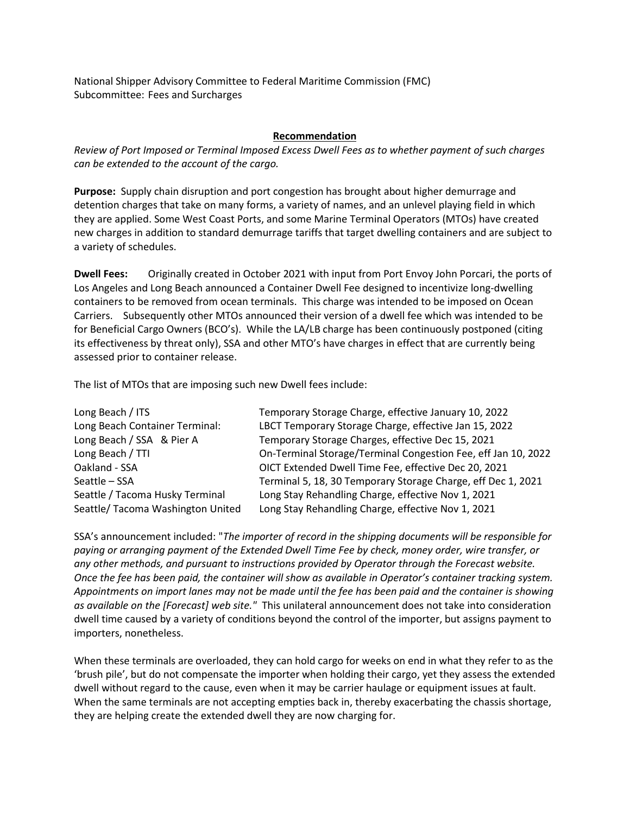National Shipper Advisory Committee to Federal Maritime Commission (FMC) Subcommittee: Fees and Surcharges

## **Recommendation**

*Review of Port Imposed or Terminal Imposed Excess Dwell Fees as to whether payment of such charges can be extended to the account of the cargo.*

**Purpose:** Supply chain disruption and port congestion has brought about higher demurrage and detention charges that take on many forms, a variety of names, and an unlevel playing field in which they are applied. Some West Coast Ports, and some Marine Terminal Operators (MTOs) have created new charges in addition to standard demurrage tariffs that target dwelling containers and are subject to a variety of schedules.

**Dwell Fees:** Originally created in October 2021 with input from Port Envoy John Porcari, the ports of Los Angeles and Long Beach announced a Container Dwell Fee designed to incentivize long-dwelling containers to be removed from ocean terminals. This charge was intended to be imposed on Ocean Carriers. Subsequently other MTOs announced their version of a dwell fee which was intended to be for Beneficial Cargo Owners (BCO's). While the LA/LB charge has been continuously postponed (citing its effectiveness by threat only), SSA and other MTO's have charges in effect that are currently being assessed prior to container release.

The list of MTOs that are imposing such new Dwell fees include:

| Long Beach / ITS                  | Temporary Storage Charge, effective January 10, 2022          |
|-----------------------------------|---------------------------------------------------------------|
| Long Beach Container Terminal:    | LBCT Temporary Storage Charge, effective Jan 15, 2022         |
| Long Beach / SSA & Pier A         | Temporary Storage Charges, effective Dec 15, 2021             |
| Long Beach / TTI                  | On-Terminal Storage/Terminal Congestion Fee, eff Jan 10, 2022 |
| Oakland - SSA                     | OICT Extended Dwell Time Fee, effective Dec 20, 2021          |
| Seattle – SSA                     | Terminal 5, 18, 30 Temporary Storage Charge, eff Dec 1, 2021  |
| Seattle / Tacoma Husky Terminal   | Long Stay Rehandling Charge, effective Nov 1, 2021            |
| Seattle/ Tacoma Washington United | Long Stay Rehandling Charge, effective Nov 1, 2021            |
|                                   |                                                               |

SSA's announcement included: "*The importer of record in the shipping documents will be responsible for paying or arranging payment of the Extended Dwell Time Fee by check, money order, wire transfer, or any other methods, and pursuant to instructions provided by Operator through the Forecast website. Once the fee has been paid, the container will show as available in Operator's container tracking system. Appointments on import lanes may not be made until the fee has been paid and the container is showing as available on the [Forecast] web site."* This unilateral announcement does not take into consideration dwell time caused by a variety of conditions beyond the control of the importer, but assigns payment to importers, nonetheless.

When these terminals are overloaded, they can hold cargo for weeks on end in what they refer to as the 'brush pile', but do not compensate the importer when holding their cargo, yet they assess the extended dwell without regard to the cause, even when it may be carrier haulage or equipment issues at fault. When the same terminals are not accepting empties back in, thereby exacerbating the chassis shortage, they are helping create the extended dwell they are now charging for.